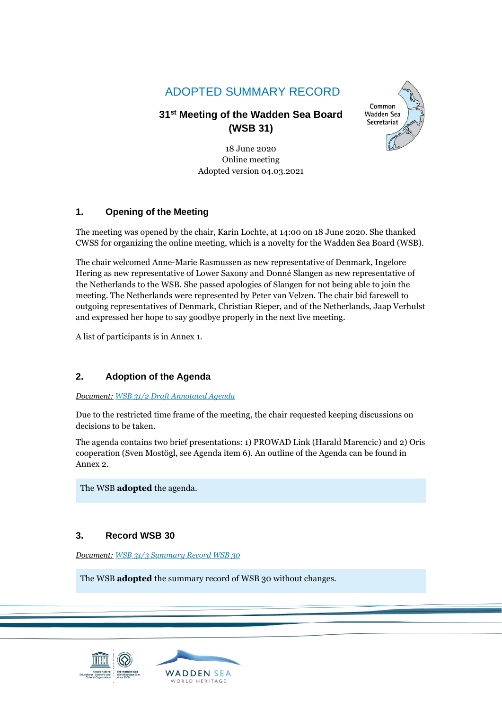# ADOPTED SUMMARY RECORD

# **31 st Meeting of the Wadden Sea Board (WSB 31)**

18 June 2020 Online meeting Adopted version 04.03.2021



## **1. Opening of the Meeting**

The meeting was opened by the chair, Karin Lochte, at 14:00 on 18 June 2020. She thanked CWSS for organizing the online meeting, which is a novelty for the Wadden Sea Board (WSB).

The chair welcomed Anne-Marie Rasmussen as new representative of Denmark, Ingelore Hering as new representative of Lower Saxony and Donné Slangen as new representative of the Netherlands to the WSB. She passed apologies of Slangen for not being able to join the meeting. The Netherlands were represented by Peter van Velzen. The chair bid farewell to outgoing representatives of Denmark, Christian Rieper, and of the Netherlands, Jaap Verhulst and expressed her hope to say goodbye properly in the next live meeting.

A list of participants is in Annex 1.

## **2. Adoption of the Agenda**

### *Document: [WSB 31/2 Draft Annotated Agenda](https://waddensea-worldheritage.org/system/files/WSB-31-2-Draft%20Annotated%20Agenda_0.pdf)*

Due to the restricted time frame of the meeting, the chair requested keeping discussions on decisions to be taken.

The agenda contains two brief presentations: 1) PROWAD Link (Harald Marencic) and 2) Oris cooperation (Sven Mostögl, see Agenda item 6). An outline of the Agenda can be found in Annex 2.

The WSB **adopted** the agenda.

## **3. Record WSB 30**

*Document: WSB 31/3 [Summary Record WSB 30](https://waddensea-worldheritage.org/system/files/WSB-31-3-WSB30_DRAFT_summary_record-final%20version.pdf)*

The WSB **adopted** the summary record of WSB 30 without changes.



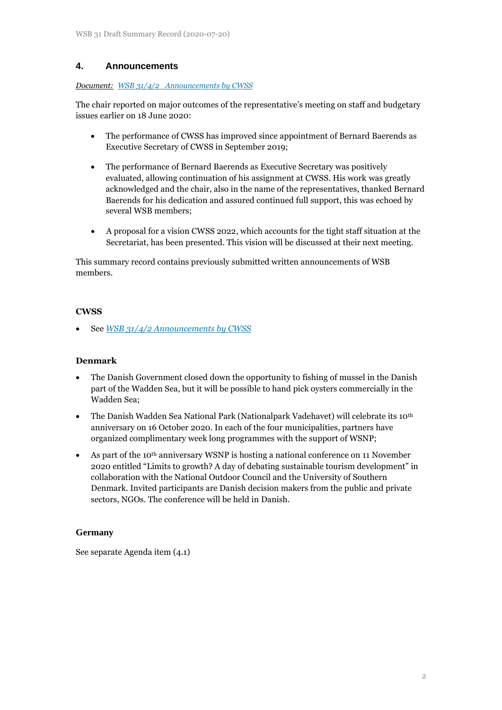## **4. Announcements**

#### *Document: [WSB 31/4/2 Announcements by CWSS](https://www.waddensea-worldheritage.org/system/files/WSB-31-4-2-Announcements%20by%20CWSS.pdf)*

The chair reported on major outcomes of the representative's meeting on staff and budgetary issues earlier on 18 June 2020:

- The performance of CWSS has improved since appointment of Bernard Baerends as Executive Secretary of CWSS in September 2019;
- The performance of Bernard Baerends as Executive Secretary was positively evaluated, allowing continuation of his assignment at CWSS. His work was greatly acknowledged and the chair, also in the name of the representatives, thanked Bernard Baerends for his dedication and assured continued full support, this was echoed by several WSB members;
- A proposal for a vision CWSS 2022, which accounts for the tight staff situation at the Secretariat, has been presented. This vision will be discussed at their next meeting.

This summary record contains previously submitted written announcements of WSB members.

### **CWSS**

• See *[WSB 31/4/2 Announcements by CWSS](https://www.waddensea-worldheritage.org/system/files/WSB-31-4-2-Announcements%20by%20CWSS.pdf)*

### **Denmark**

- The Danish Government closed down the opportunity to fishing of mussel in the Danish part of the Wadden Sea, but it will be possible to hand pick oysters commercially in the Wadden Sea;
- The Danish Wadden Sea National Park (Nationalpark Vadehavet) will celebrate its 10<sup>th</sup> anniversary on 16 October 2020. In each of the four municipalities, partners have organized complimentary week long programmes with the support of WSNP;
- As part of the 10<sup>th</sup> anniversary WSNP is hosting a national conference on 11 November 2020 entitled "Limits to growth? A day of debating sustainable tourism development" in collaboration with the National Outdoor Council and the University of Southern Denmark. Invited participants are Danish decision makers from the public and private sectors, NGOs. The conference will be held in Danish.

### **Germany**

See separate Agenda item (4.1)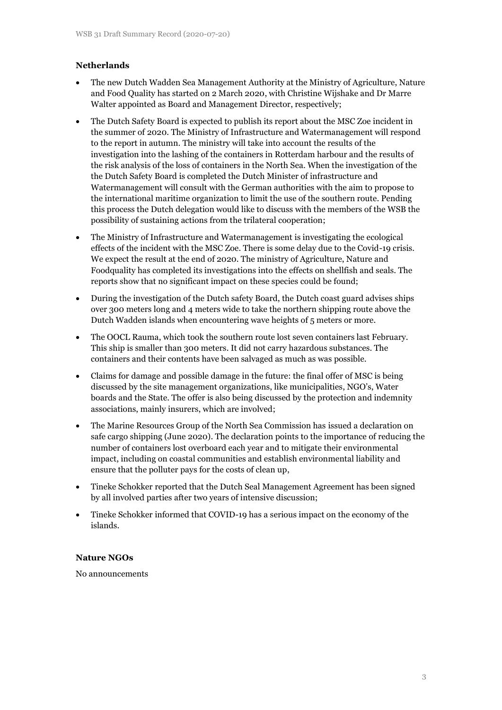### **Netherlands**

- The new Dutch Wadden Sea Management Authority at the Ministry of Agriculture, Nature and Food Quality has started on 2 March 2020, with Christine Wijshake and Dr Marre Walter appointed as Board and Management Director, respectively;
- The Dutch Safety Board is expected to publish its report about the MSC Zoe incident in the summer of 2020. The Ministry of Infrastructure and Watermanagement will respond to the report in autumn. The ministry will take into account the results of the investigation into the lashing of the containers in Rotterdam harbour and the results of the risk analysis of the loss of containers in the North Sea. When the investigation of the the Dutch Safety Board is completed the Dutch Minister of infrastructure and Watermanagement will consult with the German authorities with the aim to propose to the international maritime organization to limit the use of the southern route. Pending this process the Dutch delegation would like to discuss with the members of the WSB the possibility of sustaining actions from the trilateral cooperation;
- The Ministry of Infrastructure and Watermanagement is investigating the ecological effects of the incident with the MSC Zoe. There is some delay due to the Covid-19 crisis. We expect the result at the end of 2020. The ministry of Agriculture, Nature and Foodquality has completed its investigations into the effects on shellfish and seals. The reports show that no significant impact on these species could be found;
- During the investigation of the Dutch safety Board, the Dutch coast guard advises ships over 300 meters long and 4 meters wide to take the northern shipping route above the Dutch Wadden islands when encountering wave heights of 5 meters or more.
- The OOCL Rauma, which took the southern route lost seven containers last February. This ship is smaller than 300 meters. It did not carry hazardous substances. The containers and their contents have been salvaged as much as was possible.
- Claims for damage and possible damage in the future: the final offer of MSC is being discussed by the site management organizations, like municipalities, NGO's, Water boards and the State. The offer is also being discussed by the protection and indemnity associations, mainly insurers, which are involved;
- The Marine Resources Group of the North Sea Commission has issued a declaration on safe cargo shipping (June 2020). The declaration points to the importance of reducing the number of containers lost overboard each year and to mitigate their environmental impact, including on coastal communities and establish environmental liability and ensure that the polluter pays for the costs of clean up,
- Tineke Schokker reported that the Dutch Seal Management Agreement has been signed by all involved parties after two years of intensive discussion;
- Tineke Schokker informed that COVID-19 has a serious impact on the economy of the islands.

### **Nature NGOs**

No announcements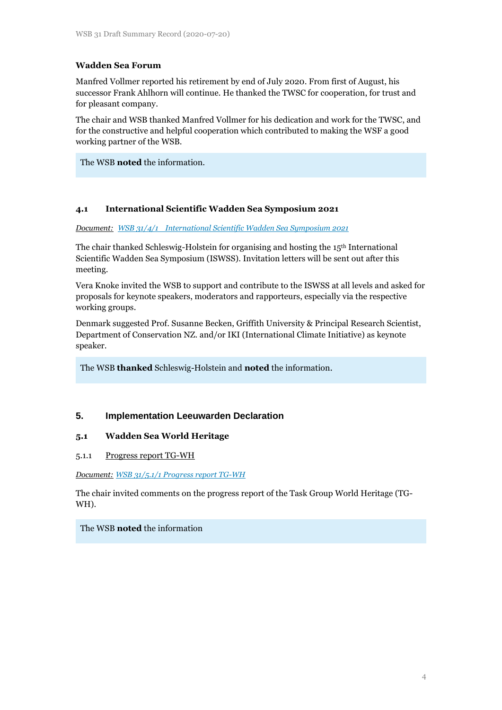## **Wadden Sea Forum**

Manfred Vollmer reported his retirement by end of July 2020. From first of August, his successor Frank Ahlhorn will continue. He thanked the TWSC for cooperation, for trust and for pleasant company.

The chair and WSB thanked Manfred Vollmer for his dedication and work for the TWSC, and for the constructive and helpful cooperation which contributed to making the WSF a good working partner of the WSB.

The WSB **noted** the information.

### **4.1 International Scientific Wadden Sea Symposium 2021**

*Document: [WSB 31/4/1 International Scientific Wadden Sea Symposium 2021](https://www.waddensea-worldheritage.org/system/files/WSB-31-4-1-ISWSS.pdf)*

The chair thanked Schleswig-Holstein for organising and hosting the 15<sup>th</sup> International Scientific Wadden Sea Symposium (ISWSS). Invitation letters will be sent out after this meeting.

Vera Knoke invited the WSB to support and contribute to the ISWSS at all levels and asked for proposals for keynote speakers, moderators and rapporteurs, especially via the respective working groups.

Denmark suggested Prof. Susanne Becken, Griffith University & Principal Research Scientist, Department of Conservation NZ. and/or IKI (International Climate Initiative) as keynote speaker.

The WSB **thanked** Schleswig-Holstein and **noted** the information.

## **5. Implementation Leeuwarden Declaration**

### **5.1 Wadden Sea World Heritage**

#### 5.1.1 Progress report TG-WH

*Document: [WSB 31/5.1/1 Progress report TG-WH](https://waddensea-worldheritage.org/system/files/WSB-31-5-1-1-tg%20wh%20progress%20report.pdf)*

The chair invited comments on the progress report of the Task Group World Heritage (TG-WH).

### The WSB **noted** the information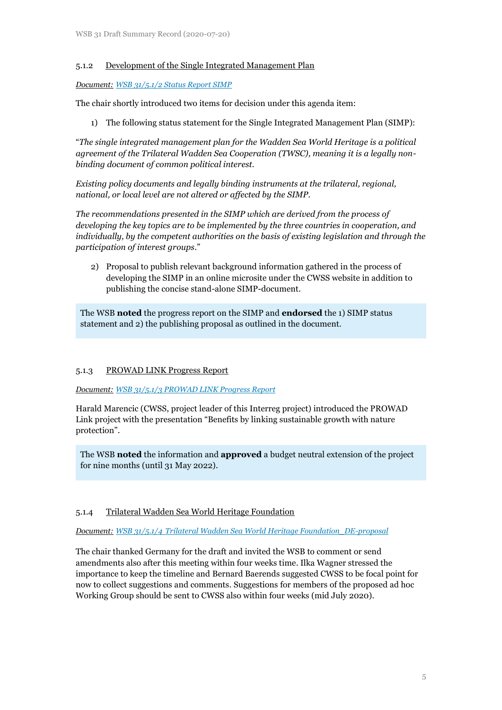### 5.1.2 Development of the Single Integrated Management Plan

*Document: WSB 31/5.1/2 [Status Report SIMP](https://waddensea-worldheritage.org/system/files/WSB-31-5-1-2-SIMP%20status%20report_0.pdf)*

The chair shortly introduced two items for decision under this agenda item:

1) The following status statement for the Single Integrated Management Plan (SIMP):

"*The single integrated management plan for the Wadden Sea World Heritage is a political agreement of the Trilateral Wadden Sea Cooperation (TWSC), meaning it is a legally nonbinding document of common political interest.* 

*Existing policy documents and legally binding instruments at the trilateral, regional, national, or local level are not altered or affected by the SIMP.* 

*The recommendations presented in the SIMP which are derived from the process of developing the key topics are to be implemented by the three countries in cooperation, and individually, by the competent authorities on the basis of existing legislation and through the participation of interest groups*."

2) Proposal to publish relevant background information gathered in the process of developing the SIMP in an online microsite under the CWSS website in addition to publishing the concise stand-alone SIMP-document.

The WSB **noted** the progress report on the SIMP and **endorsed** the 1) SIMP status statement and 2) the publishing proposal as outlined in the document.

### 5.1.3 PROWAD LINK Progress Report

*Document: WSB 31/5.1/3 [PROWAD LINK Progress Report](https://waddensea-worldheritage.org/system/files/WSB-31-5-1-3-prowad-link%20progress%20report.pdf)*

Harald Marencic (CWSS, project leader of this Interreg project) introduced the PROWAD Link project with the presentation "Benefits by linking sustainable growth with nature protection".

The WSB **noted** the information and **approved** a budget neutral extension of the project for nine months (until 31 May 2022).

### 5.1.4 Trilateral Wadden Sea World Heritage Foundation

*Document: [WSB 31/5.1/4 Trilateral Wadden Sea World Heritage Foundation\\_DE-proposal](https://waddensea-worldheritage.org/system/files/WSB-31-5-1-4-Trilateral%20Wadden%20Sea%20World%20Heritage%20Foundation_DE-proposal.pdf)*

The chair thanked Germany for the draft and invited the WSB to comment or send amendments also after this meeting within four weeks time. Ilka Wagner stressed the importance to keep the timeline and Bernard Baerends suggested CWSS to be focal point for now to collect suggestions and comments. Suggestions for members of the proposed ad hoc Working Group should be sent to CWSS also within four weeks (mid July 2020).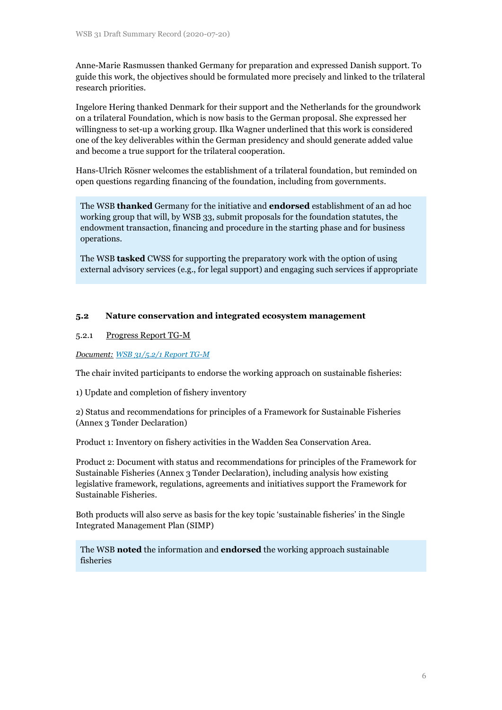Anne-Marie Rasmussen thanked Germany for preparation and expressed Danish support. To guide this work, the objectives should be formulated more precisely and linked to the trilateral research priorities.

Ingelore Hering thanked Denmark for their support and the Netherlands for the groundwork on a trilateral Foundation, which is now basis to the German proposal. She expressed her willingness to set-up a working group. Ilka Wagner underlined that this work is considered one of the key deliverables within the German presidency and should generate added value and become a true support for the trilateral cooperation.

Hans-Ulrich Rösner welcomes the establishment of a trilateral foundation, but reminded on open questions regarding financing of the foundation, including from governments.

The WSB **thanked** Germany for the initiative and **endorsed** establishment of an ad hoc working group that will, by WSB 33, submit proposals for the foundation statutes, the endowment transaction, financing and procedure in the starting phase and for business operations.

The WSB **tasked** CWSS for supporting the preparatory work with the option of using external advisory services (e.g., for legal support) and engaging such services if appropriate

### **5.2 Nature conservation and integrated ecosystem management**

### 5.2.1 Progress Report TG-M

*Document: [WSB 31/5.2/1 Report TG-M](https://waddensea-worldheritage.org/system/files/WSB-31-5-2-1-tg%20m%20progress%20report.pdf)*

The chair invited participants to endorse the working approach on sustainable fisheries:

1) Update and completion of fishery inventory

2) Status and recommendations for principles of a Framework for Sustainable Fisheries (Annex 3 Tønder Declaration)

Product 1: Inventory on fishery activities in the Wadden Sea Conservation Area.

Product 2: Document with status and recommendations for principles of the Framework for Sustainable Fisheries (Annex 3 Tønder Declaration), including analysis how existing legislative framework, regulations, agreements and initiatives support the Framework for Sustainable Fisheries.

Both products will also serve as basis for the key topic 'sustainable fisheries' in the Single Integrated Management Plan (SIMP)

The WSB **noted** the information and **endorsed** the working approach sustainable fisheries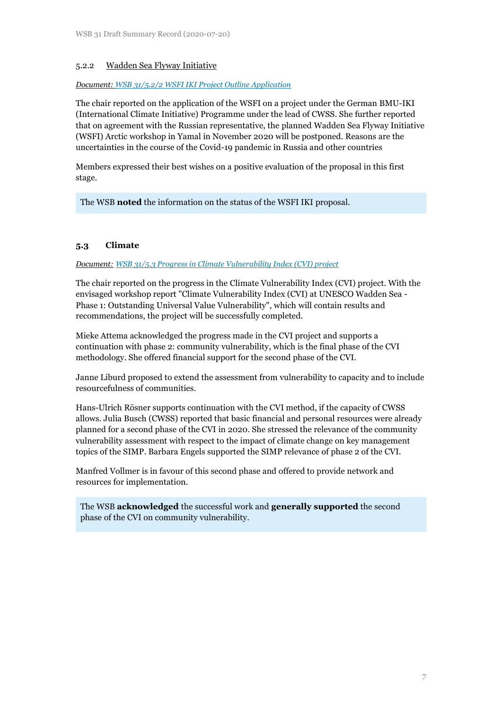### 5.2.2 Wadden Sea Flyway Initiative

#### *Document: [WSB 31/5.2/2 WSFI IKI Project Outline Application](https://waddensea-worldheritage.org/system/files/WSB-31-5-2-2-WSFI%20IKI%20project%20outline%20application.pdf)*

The chair reported on the application of the WSFI on a project under the German BMU-IKI (International Climate Initiative) Programme under the lead of CWSS. She further reported that on agreement with the Russian representative, the planned Wadden Sea Flyway Initiative (WSFI) Arctic workshop in Yamal in November 2020 will be postponed. Reasons are the uncertainties in the course of the Covid-19 pandemic in Russia and other countries

Members expressed their best wishes on a positive evaluation of the proposal in this first stage.

The WSB **noted** the information on the status of the WSFI IKI proposal.

## **5.3 Climate**

#### *Document: [WSB 31/5.3 Progress in Climate Vulnerability Index \(CVI\) project](https://waddensea-worldheritage.org/system/files/WSB-31-5-3rev%20climate-vulnerability-index.pdf)*

The chair reported on the progress in the Climate Vulnerability Index (CVI) project. With the envisaged workshop report "Climate Vulnerability Index (CVI) at UNESCO Wadden Sea - Phase 1: Outstanding Universal Value Vulnerability", which will contain results and recommendations, the project will be successfully completed.

Mieke Attema acknowledged the progress made in the CVI project and supports a continuation with phase 2: community vulnerability, which is the final phase of the CVI methodology. She offered financial support for the second phase of the CVI.

Janne Liburd proposed to extend the assessment from vulnerability to capacity and to include resourcefulness of communities.

Hans-Ulrich Rösner supports continuation with the CVI method, if the capacity of CWSS allows. Julia Busch (CWSS) reported that basic financial and personal resources were already planned for a second phase of the CVI in 2020. She stressed the relevance of the community vulnerability assessment with respect to the impact of climate change on key management topics of the SIMP. Barbara Engels supported the SIMP relevance of phase 2 of the CVI.

Manfred Vollmer is in favour of this second phase and offered to provide network and resources for implementation.

The WSB **acknowledged** the successful work and **generally supported** the second phase of the CVI on community vulnerability.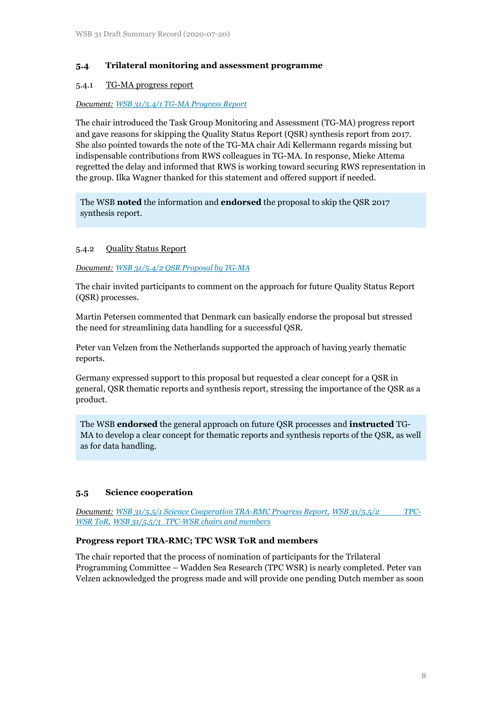### **5.4 Trilateral monitoring and assessment programme**

### 5.4.1 TG-MA progress report

#### *Document: [WSB 31/5.4/1 TG-MA Progress Report](https://www.waddensea-worldheritage.org/system/files/WSB-31-5-4-1-TG-MA%20Report.pdf)*

The chair introduced the Task Group Monitoring and Assessment (TG-MA) progress report and gave reasons for skipping the Quality Status Report (QSR) synthesis report from 2017. She also pointed towards the note of the TG-MA chair Adi Kellermann regards missing but indispensable contributions from RWS colleagues in TG-MA. In response, Mieke Attema regretted the delay and informed that RWS is working toward securing RWS representation in the group. Ilka Wagner thanked for this statement and offered support if needed.

The WSB **noted** the information and **endorsed** the proposal to skip the QSR 2017 synthesis report.

#### 5.4.2 Quality Status Report

*Document: [WSB 31/5.4/2 QSR Proposal by TG-MA](https://www.waddensea-worldheritage.org/system/files/WSB-31-5-4-1-TG-MA%20Report.pdf)* 

The chair invited participants to comment on the approach for future Quality Status Report (QSR) processes.

Martin Petersen commented that Denmark can basically endorse the proposal but stressed the need for streamlining data handling for a successful QSR.

Peter van Velzen from the Netherlands supported the approach of having yearly thematic reports.

Germany expressed support to this proposal but requested a clear concept for a QSR in general, QSR thematic reports and synthesis report, stressing the importance of the QSR as a product.

The WSB **endorsed** the general approach on future QSR processes and **instructed** TG-MA to develop a clear concept for thematic reports and synthesis reports of the QSR, as well as for data handling.

### **5.5 Science cooperation**

*Document: [WSB 31/5.5/1 Science Cooperation TRA-RMC Progress Report,](https://waddensea-worldheritage.org/system/files/WSB-31-5-5-2-TPC-WSR%20ToR.pdf) WSB 31/5.5/2 TPC-[WSR ToR,](https://waddensea-worldheritage.org/system/files/WSB-31-5-5-2-TPC-WSR%20ToR.pdf) WSB 31/5.5/3 TPC-WS[R chairs](https://www.waddensea-worldheritage.org/system/files/WSB-31-5-5-3-Science%20Cooperation%20Nominees%20TPC-WSR.pdf) and members*

### **Progress report TRA-RMC; TPC WSR ToR and members**

The chair reported that the process of nomination of participants for the Trilateral Programming Committee – Wadden Sea Research (TPC WSR) is nearly completed. Peter van Velzen acknowledged the progress made and will provide one pending Dutch member as soon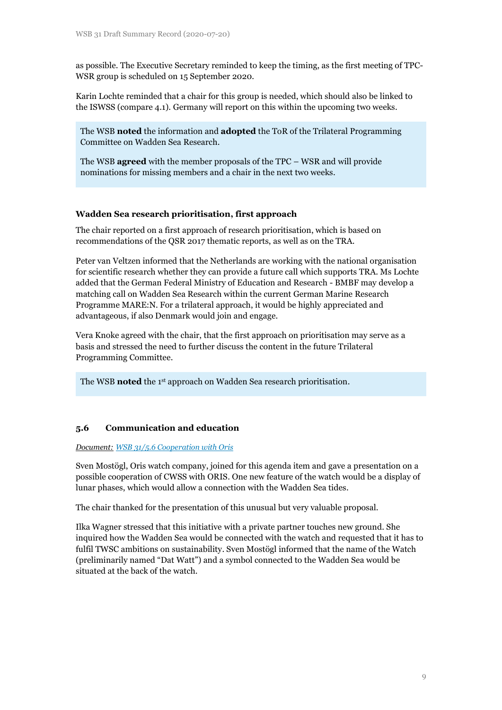as possible. The Executive Secretary reminded to keep the timing, as the first meeting of TPC-WSR group is scheduled on 15 September 2020.

Karin Lochte reminded that a chair for this group is needed, which should also be linked to the ISWSS (compare 4.1). Germany will report on this within the upcoming two weeks.

The WSB **noted** the information and **adopted** the ToR of the Trilateral Programming Committee on Wadden Sea Research.

The WSB **agreed** with the member proposals of the TPC – WSR and will provide nominations for missing members and a chair in the next two weeks.

### **Wadden Sea research prioritisation, first approach**

The chair reported on a first approach of research prioritisation, which is based on recommendations of the QSR 2017 thematic reports, as well as on the TRA.

Peter van Veltzen informed that the Netherlands are working with the national organisation for scientific research whether they can provide a future call which supports TRA. Ms Lochte added that the German Federal Ministry of Education and Research - BMBF may develop a matching call on Wadden Sea Research within the current German Marine Research Programme MARE:N. For a trilateral approach, it would be highly appreciated and advantageous, if also Denmark would join and engage.

Vera Knoke agreed with the chair, that the first approach on prioritisation may serve as a basis and stressed the need to further discuss the content in the future Trilateral Programming Committee.

The WSB **noted** the 1st approach on Wadden Sea research prioritisation.

### **5.6 Communication and education**

#### *Document: [WSB 31/5.6 Cooperation with Oris](https://waddensea-worldheritage.org/system/files/WSB-31-5-6-Cooperation%20with%20Oris.pdf)*

Sven Mostögl, Oris watch company, joined for this agenda item and gave a presentation on a possible cooperation of CWSS with ORIS. One new feature of the watch would be a display of lunar phases, which would allow a connection with the Wadden Sea tides.

The chair thanked for the presentation of this unusual but very valuable proposal.

Ilka Wagner stressed that this initiative with a private partner touches new ground. She inquired how the Wadden Sea would be connected with the watch and requested that it has to fulfil TWSC ambitions on sustainability. Sven Mostögl informed that the name of the Watch (preliminarily named "Dat Watt") and a symbol connected to the Wadden Sea would be situated at the back of the watch.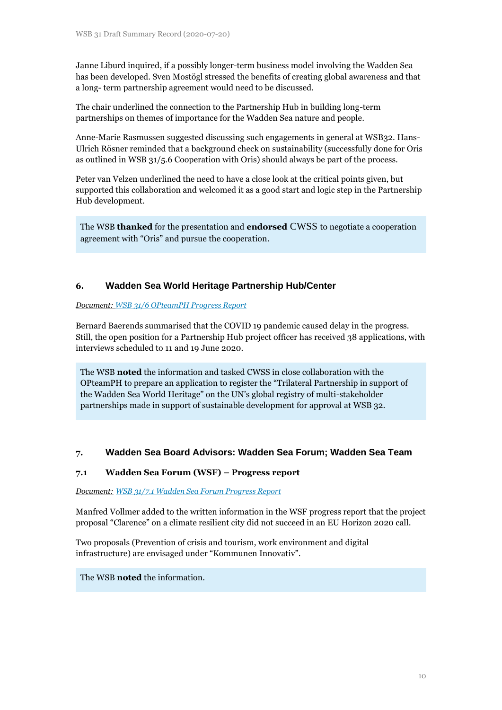Janne Liburd inquired, if a possibly longer-term business model involving the Wadden Sea has been developed. Sven Mostögl stressed the benefits of creating global awareness and that a long- term partnership agreement would need to be discussed.

The chair underlined the connection to the Partnership Hub in building long-term partnerships on themes of importance for the Wadden Sea nature and people.

Anne-Marie Rasmussen suggested discussing such engagements in general at WSB32. Hans-Ulrich Rösner reminded that a background check on sustainability (successfully done for Oris as outlined in WSB 31/5.6 Cooperation with Oris) should always be part of the process.

Peter van Velzen underlined the need to have a close look at the critical points given, but supported this collaboration and welcomed it as a good start and logic step in the Partnership Hub development.

The WSB **thanked** for the presentation and **endorsed** CWSS to negotiate a cooperation agreement with "Oris" and pursue the cooperation.

## **6. Wadden Sea World Heritage Partnership Hub/Center**

#### *Document: [WSB 31/6 OPteamPH Progress Report](https://waddensea-worldheritage.org/system/files/WSB-31-6-OPteamPH_progress_report.pdf)*

Bernard Baerends summarised that the COVID 19 pandemic caused delay in the progress. Still, the open position for a Partnership Hub project officer has received 38 applications, with interviews scheduled to 11 and 19 June 2020.

The WSB **noted** the information and tasked CWSS in close collaboration with the OPteamPH to prepare an application to register the "Trilateral Partnership in support of the Wadden Sea World Heritage" on the UN's global registry of multi-stakeholder partnerships made in support of sustainable development for approval at WSB 32.

## **7. Wadden Sea Board Advisors: Wadden Sea Forum; Wadden Sea Team**

### **7.1 Wadden Sea Forum (WSF) – Progress report**

*Document: [WSB 31/7.1 Wadden Sea Forum Progress Report](https://www.waddensea-worldheritage.org/system/files/WSB-31-7-2-Outline_Shipping_project_WSTeam.pdf)*

Manfred Vollmer added to the written information in the WSF progress report that the project proposal "Clarence" on a climate resilient city did not succeed in an EU Horizon 2020 call.

Two proposals (Prevention of crisis and tourism, work environment and digital infrastructure) are envisaged under "Kommunen Innovativ".

The WSB **noted** the information.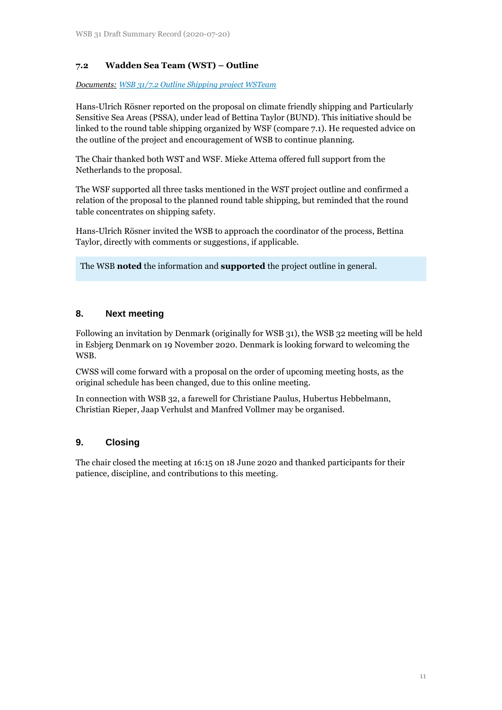## **7.2 Wadden Sea Team (WST) – Outline**

*Documents: [WSB 31/7.2 Outline Shipping project WSTeam](https://www.waddensea-worldheritage.org/system/files/WSB-31-7-2-Outline_Shipping_project_WSTeam.pdf)*

Hans-Ulrich Rösner reported on the proposal on climate friendly shipping and Particularly Sensitive Sea Areas (PSSA), under lead of Bettina Taylor (BUND). This initiative should be linked to the round table shipping organized by WSF (compare 7.1). He requested advice on the outline of the project and encouragement of WSB to continue planning.

The Chair thanked both WST and WSF. Mieke Attema offered full support from the Netherlands to the proposal.

The WSF supported all three tasks mentioned in the WST project outline and confirmed a relation of the proposal to the planned round table shipping, but reminded that the round table concentrates on shipping safety.

Hans-Ulrich Rösner invited the WSB to approach the coordinator of the process, Bettina Taylor, directly with comments or suggestions, if applicable.

The WSB **noted** the information and **supported** the project outline in general.

## **8. Next meeting**

Following an invitation by Denmark (originally for WSB 31), the WSB 32 meeting will be held in Esbjerg Denmark on 19 November 2020. Denmark is looking forward to welcoming the WSB.

CWSS will come forward with a proposal on the order of upcoming meeting hosts, as the original schedule has been changed, due to this online meeting.

In connection with WSB 32, a farewell for Christiane Paulus, Hubertus Hebbelmann, Christian Rieper, Jaap Verhulst and Manfred Vollmer may be organised.

## **9. Closing**

The chair closed the meeting at 16:15 on 18 June 2020 and thanked participants for their patience, discipline, and contributions to this meeting.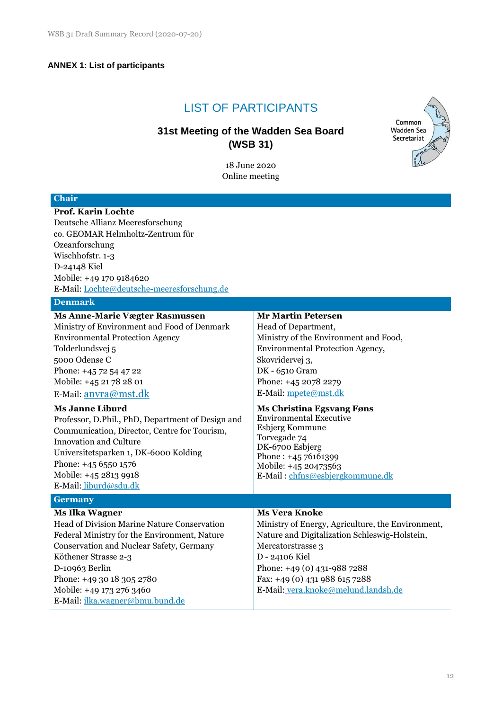## **ANNEX 1: List of participants**

# LIST OF PARTICIPANTS

# **31st Meeting of the Wadden Sea Board (WSB 31)**

18 June 2020 Online meeting



| <b>Chair</b>                                      |                                                   |  |  |  |  |
|---------------------------------------------------|---------------------------------------------------|--|--|--|--|
| Prof. Karin Lochte                                |                                                   |  |  |  |  |
| Deutsche Allianz Meeresforschung                  |                                                   |  |  |  |  |
| co. GEOMAR Helmholtz-Zentrum für                  |                                                   |  |  |  |  |
| Ozeanforschung                                    |                                                   |  |  |  |  |
| Wischhofstr. 1-3                                  |                                                   |  |  |  |  |
| D-24148 Kiel                                      |                                                   |  |  |  |  |
| Mobile: +49 170 9184620                           |                                                   |  |  |  |  |
| E-Mail: Lochte@deutsche-meeresforschung.de        |                                                   |  |  |  |  |
| <b>Denmark</b>                                    |                                                   |  |  |  |  |
| <b>Ms Anne-Marie Vægter Rasmussen</b>             | <b>Mr Martin Petersen</b>                         |  |  |  |  |
| Ministry of Environment and Food of Denmark       | Head of Department,                               |  |  |  |  |
| <b>Environmental Protection Agency</b>            | Ministry of the Environment and Food,             |  |  |  |  |
| Tolderlundsvej 5                                  | Environmental Protection Agency,                  |  |  |  |  |
| 5000 Odense C                                     | Skovridervej 3,                                   |  |  |  |  |
| Phone: +45 72 54 47 22                            | DK - 6510 Gram                                    |  |  |  |  |
| Mobile: +45 21 78 28 01                           | Phone: +45 2078 2279                              |  |  |  |  |
| E-Mail: anvra@mst.dk                              | E-Mail: mpete@mst.dk                              |  |  |  |  |
| <b>Ms Janne Liburd</b>                            | <b>Ms Christina Egsvang Føns</b>                  |  |  |  |  |
| Professor, D.Phil., PhD, Department of Design and | <b>Environmental Executive</b>                    |  |  |  |  |
| Communication, Director, Centre for Tourism,      | Esbjerg Kommune                                   |  |  |  |  |
| <b>Innovation and Culture</b>                     | Torvegade 74<br>DK-6700 Esbjerg                   |  |  |  |  |
| Universitetsparken 1, DK-6000 Kolding             | Phone: +45 76161399                               |  |  |  |  |
| Phone: +45 6550 1576                              | Mobile: +45 20473563                              |  |  |  |  |
| Mobile: +45 2813 9918                             | E-Mail: chfns@esbjergkommune.dk                   |  |  |  |  |
| E-Mail: liburd@sdu.dk                             |                                                   |  |  |  |  |
| <b>Germany</b>                                    |                                                   |  |  |  |  |
| <b>Ms Ilka Wagner</b>                             | <b>Ms Vera Knoke</b>                              |  |  |  |  |
| Head of Division Marine Nature Conservation       | Ministry of Energy, Agriculture, the Environment, |  |  |  |  |
| Federal Ministry for the Environment, Nature      | Nature and Digitalization Schleswig-Holstein,     |  |  |  |  |
| Conservation and Nuclear Safety, Germany          | Mercatorstrasse 3                                 |  |  |  |  |
| Köthener Strasse 2-3                              | D - 24106 Kiel                                    |  |  |  |  |
| D-10963 Berlin                                    | Phone: +49 (0) 431-988 7288                       |  |  |  |  |
| Phone: +49 30 18 305 2780                         | Fax: +49 (0) 431 988 615 7288                     |  |  |  |  |
| Mobile: +49 173 276 3460                          | E-Mail: vera.knoke@melund.landsh.de               |  |  |  |  |
| E-Mail: <i>ilka.wagner@bmu.bund.de</i>            |                                                   |  |  |  |  |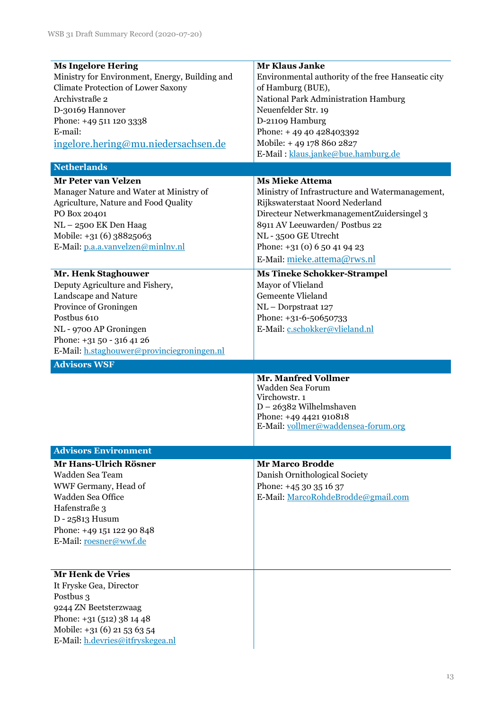| Ministry for Environment, Energy, Building and<br>Environmental authority of the free Hanseatic city<br><b>Climate Protection of Lower Saxony</b><br>of Hamburg (BUE),<br>Archivstraße 2<br>National Park Administration Hamburg<br>D-30169 Hannover<br>Neuenfelder Str. 19<br>D-21109 Hamburg<br>Phone: +49 511 120 3338<br>E-mail:<br>Phone: $+4940428403392$<br>Mobile: +49 178 860 2827<br>ingelore.hering@mu.niedersachsen.de<br>E-Mail: klaus.janke@bue.hamburg.de<br><b>Netherlands</b><br><b>Ms Mieke Attema</b><br><b>Mr Peter van Velzen</b><br>Manager Nature and Water at Ministry of<br>Ministry of Infrastructure and Watermanagement,<br>Rijkswaterstaat Noord Nederland<br>Agriculture, Nature and Food Quality<br>Directeur NetwerkmanagementZuidersingel 3<br>PO Box 20401<br>NL-2500 EK Den Haag<br>8911 AV Leeuwarden/ Postbus 22<br>Mobile: +31 (6) 38825063<br>NL - 3500 GE Utrecht |  |
|-----------------------------------------------------------------------------------------------------------------------------------------------------------------------------------------------------------------------------------------------------------------------------------------------------------------------------------------------------------------------------------------------------------------------------------------------------------------------------------------------------------------------------------------------------------------------------------------------------------------------------------------------------------------------------------------------------------------------------------------------------------------------------------------------------------------------------------------------------------------------------------------------------------|--|
|                                                                                                                                                                                                                                                                                                                                                                                                                                                                                                                                                                                                                                                                                                                                                                                                                                                                                                           |  |
|                                                                                                                                                                                                                                                                                                                                                                                                                                                                                                                                                                                                                                                                                                                                                                                                                                                                                                           |  |
|                                                                                                                                                                                                                                                                                                                                                                                                                                                                                                                                                                                                                                                                                                                                                                                                                                                                                                           |  |
|                                                                                                                                                                                                                                                                                                                                                                                                                                                                                                                                                                                                                                                                                                                                                                                                                                                                                                           |  |
|                                                                                                                                                                                                                                                                                                                                                                                                                                                                                                                                                                                                                                                                                                                                                                                                                                                                                                           |  |
|                                                                                                                                                                                                                                                                                                                                                                                                                                                                                                                                                                                                                                                                                                                                                                                                                                                                                                           |  |
|                                                                                                                                                                                                                                                                                                                                                                                                                                                                                                                                                                                                                                                                                                                                                                                                                                                                                                           |  |
|                                                                                                                                                                                                                                                                                                                                                                                                                                                                                                                                                                                                                                                                                                                                                                                                                                                                                                           |  |
|                                                                                                                                                                                                                                                                                                                                                                                                                                                                                                                                                                                                                                                                                                                                                                                                                                                                                                           |  |
|                                                                                                                                                                                                                                                                                                                                                                                                                                                                                                                                                                                                                                                                                                                                                                                                                                                                                                           |  |
|                                                                                                                                                                                                                                                                                                                                                                                                                                                                                                                                                                                                                                                                                                                                                                                                                                                                                                           |  |
|                                                                                                                                                                                                                                                                                                                                                                                                                                                                                                                                                                                                                                                                                                                                                                                                                                                                                                           |  |
|                                                                                                                                                                                                                                                                                                                                                                                                                                                                                                                                                                                                                                                                                                                                                                                                                                                                                                           |  |
|                                                                                                                                                                                                                                                                                                                                                                                                                                                                                                                                                                                                                                                                                                                                                                                                                                                                                                           |  |
|                                                                                                                                                                                                                                                                                                                                                                                                                                                                                                                                                                                                                                                                                                                                                                                                                                                                                                           |  |
| Phone: $+31(0)650419423$<br>E-Mail: p.a.a.vanvelzen@minlnv.nl                                                                                                                                                                                                                                                                                                                                                                                                                                                                                                                                                                                                                                                                                                                                                                                                                                             |  |
| E-Mail: mieke.attema@rws.nl                                                                                                                                                                                                                                                                                                                                                                                                                                                                                                                                                                                                                                                                                                                                                                                                                                                                               |  |
|                                                                                                                                                                                                                                                                                                                                                                                                                                                                                                                                                                                                                                                                                                                                                                                                                                                                                                           |  |
| Mr. Henk Staghouwer<br><b>Ms Tineke Schokker-Strampel</b>                                                                                                                                                                                                                                                                                                                                                                                                                                                                                                                                                                                                                                                                                                                                                                                                                                                 |  |
| Deputy Agriculture and Fishery,<br>Mayor of Vlieland                                                                                                                                                                                                                                                                                                                                                                                                                                                                                                                                                                                                                                                                                                                                                                                                                                                      |  |
| Landscape and Nature<br>Gemeente Vlieland                                                                                                                                                                                                                                                                                                                                                                                                                                                                                                                                                                                                                                                                                                                                                                                                                                                                 |  |
| Province of Groningen<br>NL-Dorpstraat 127                                                                                                                                                                                                                                                                                                                                                                                                                                                                                                                                                                                                                                                                                                                                                                                                                                                                |  |
| Postbus 610<br>Phone: +31-6-50650733                                                                                                                                                                                                                                                                                                                                                                                                                                                                                                                                                                                                                                                                                                                                                                                                                                                                      |  |
| E-Mail: c.schokker@vlieland.nl<br>NL - 9700 AP Groningen                                                                                                                                                                                                                                                                                                                                                                                                                                                                                                                                                                                                                                                                                                                                                                                                                                                  |  |
| Phone: +31 50 - 316 41 26                                                                                                                                                                                                                                                                                                                                                                                                                                                                                                                                                                                                                                                                                                                                                                                                                                                                                 |  |
| E-Mail: h.staghouwer@provinciegroningen.nl                                                                                                                                                                                                                                                                                                                                                                                                                                                                                                                                                                                                                                                                                                                                                                                                                                                                |  |
| <b>Advisors WSF</b>                                                                                                                                                                                                                                                                                                                                                                                                                                                                                                                                                                                                                                                                                                                                                                                                                                                                                       |  |
| <b>Mr. Manfred Vollmer</b>                                                                                                                                                                                                                                                                                                                                                                                                                                                                                                                                                                                                                                                                                                                                                                                                                                                                                |  |
| Wadden Sea Forum                                                                                                                                                                                                                                                                                                                                                                                                                                                                                                                                                                                                                                                                                                                                                                                                                                                                                          |  |
| Virchowstr. 1                                                                                                                                                                                                                                                                                                                                                                                                                                                                                                                                                                                                                                                                                                                                                                                                                                                                                             |  |
|                                                                                                                                                                                                                                                                                                                                                                                                                                                                                                                                                                                                                                                                                                                                                                                                                                                                                                           |  |
| $D - 26382$ Wilhelmshaven                                                                                                                                                                                                                                                                                                                                                                                                                                                                                                                                                                                                                                                                                                                                                                                                                                                                                 |  |
| Phone: +49 4421 910818                                                                                                                                                                                                                                                                                                                                                                                                                                                                                                                                                                                                                                                                                                                                                                                                                                                                                    |  |
| E-Mail: vollmer@waddensea-forum.org                                                                                                                                                                                                                                                                                                                                                                                                                                                                                                                                                                                                                                                                                                                                                                                                                                                                       |  |
| <b>Advisors Environment</b>                                                                                                                                                                                                                                                                                                                                                                                                                                                                                                                                                                                                                                                                                                                                                                                                                                                                               |  |
| Mr Hans-Ulrich Rösner<br>Mr Marco Brodde                                                                                                                                                                                                                                                                                                                                                                                                                                                                                                                                                                                                                                                                                                                                                                                                                                                                  |  |
| Wadden Sea Team                                                                                                                                                                                                                                                                                                                                                                                                                                                                                                                                                                                                                                                                                                                                                                                                                                                                                           |  |
| Danish Ornithological Society                                                                                                                                                                                                                                                                                                                                                                                                                                                                                                                                                                                                                                                                                                                                                                                                                                                                             |  |
| WWF Germany, Head of<br>Phone: $+4530351637$                                                                                                                                                                                                                                                                                                                                                                                                                                                                                                                                                                                                                                                                                                                                                                                                                                                              |  |
| Wadden Sea Office<br>E-Mail: MarcoRohdeBrodde@gmail.com                                                                                                                                                                                                                                                                                                                                                                                                                                                                                                                                                                                                                                                                                                                                                                                                                                                   |  |
| Hafenstraße 3                                                                                                                                                                                                                                                                                                                                                                                                                                                                                                                                                                                                                                                                                                                                                                                                                                                                                             |  |
| D - 25813 Husum                                                                                                                                                                                                                                                                                                                                                                                                                                                                                                                                                                                                                                                                                                                                                                                                                                                                                           |  |
| Phone: +49 151 122 90 848                                                                                                                                                                                                                                                                                                                                                                                                                                                                                                                                                                                                                                                                                                                                                                                                                                                                                 |  |
| E-Mail: roesner@wwf.de                                                                                                                                                                                                                                                                                                                                                                                                                                                                                                                                                                                                                                                                                                                                                                                                                                                                                    |  |
|                                                                                                                                                                                                                                                                                                                                                                                                                                                                                                                                                                                                                                                                                                                                                                                                                                                                                                           |  |
| <b>Mr Henk de Vries</b>                                                                                                                                                                                                                                                                                                                                                                                                                                                                                                                                                                                                                                                                                                                                                                                                                                                                                   |  |
| It Fryske Gea, Director                                                                                                                                                                                                                                                                                                                                                                                                                                                                                                                                                                                                                                                                                                                                                                                                                                                                                   |  |
| Postbus 3                                                                                                                                                                                                                                                                                                                                                                                                                                                                                                                                                                                                                                                                                                                                                                                                                                                                                                 |  |
| 9244 ZN Beetsterzwaag                                                                                                                                                                                                                                                                                                                                                                                                                                                                                                                                                                                                                                                                                                                                                                                                                                                                                     |  |
| Phone: $+31(512)381448$                                                                                                                                                                                                                                                                                                                                                                                                                                                                                                                                                                                                                                                                                                                                                                                                                                                                                   |  |
| Mobile: +31 (6) 21 53 63 54                                                                                                                                                                                                                                                                                                                                                                                                                                                                                                                                                                                                                                                                                                                                                                                                                                                                               |  |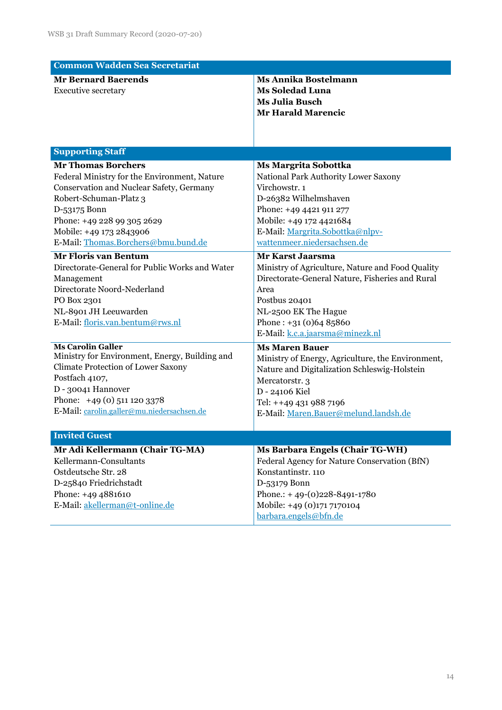| <b>Common Wadden Sea Secretariat</b>                                                                                                                                                                                                                            |                                                                                                                                                                                                                                              |  |  |  |  |
|-----------------------------------------------------------------------------------------------------------------------------------------------------------------------------------------------------------------------------------------------------------------|----------------------------------------------------------------------------------------------------------------------------------------------------------------------------------------------------------------------------------------------|--|--|--|--|
| <b>Mr Bernard Baerends</b><br><b>Executive secretary</b>                                                                                                                                                                                                        | <b>Ms Annika Bostelmann</b><br><b>Ms Soledad Luna</b><br><b>Ms Julia Busch</b><br><b>Mr Harald Marencic</b>                                                                                                                                  |  |  |  |  |
| <b>Supporting Staff</b>                                                                                                                                                                                                                                         |                                                                                                                                                                                                                                              |  |  |  |  |
| <b>Mr Thomas Borchers</b><br>Federal Ministry for the Environment, Nature<br>Conservation and Nuclear Safety, Germany<br>Robert-Schuman-Platz 3<br>D-53175 Bonn<br>Phone: +49 228 99 305 2629<br>Mobile: +49 173 2843906<br>E-Mail: Thomas.Borchers@bmu.bund.de | <b>Ms Margrita Sobottka</b><br>National Park Authority Lower Saxony<br>Virchowstr. 1<br>D-26382 Wilhelmshaven<br>Phone: +49 4421 911 277<br>Mobile: +49 172 4421684<br>E-Mail: Margrita.Sobottka@nlpv-<br>wattenmeer.niedersachsen.de        |  |  |  |  |
| <b>Mr Floris van Bentum</b><br>Directorate-General for Public Works and Water<br>Management<br>Directorate Noord-Nederland<br>PO Box 2301<br>NL-8901 JH Leeuwarden<br>E-Mail: floris.van.bentum@rws.nl                                                          | <b>Mr Karst Jaarsma</b><br>Ministry of Agriculture, Nature and Food Quality<br>Directorate-General Nature, Fisheries and Rural<br>Area<br>Postbus 20401<br>NL-2500 EK The Hague<br>Phone: $+31(0)6485860$<br>E-Mail: k.c.a.jaarsma@minezk.nl |  |  |  |  |
| <b>Ms Carolin Galler</b><br>Ministry for Environment, Energy, Building and<br>Climate Protection of Lower Saxony<br>Postfach 4107,<br>D - 30041 Hannover<br>Phone: +49 (0) 511 120 3378<br>E-Mail: carolin.galler@mu.niedersachsen.de                           | <b>Ms Maren Bauer</b><br>Ministry of Energy, Agriculture, the Environment,<br>Nature and Digitalization Schleswig-Holstein<br>Mercatorstr. 3<br>D - 24106 Kiel<br>Tel: ++49 431 988 7196<br>E-Mail: Maren.Bauer@melund.landsh.de             |  |  |  |  |
| <b>Invited Guest</b>                                                                                                                                                                                                                                            |                                                                                                                                                                                                                                              |  |  |  |  |
| Mr Adi Kellermann (Chair TG-MA)<br>Kellermann-Consultants<br>Ostdeutsche Str. 28<br>D-25840 Friedrichstadt<br>Phone: +49 4881610<br>E-Mail: akellerman@t-online.de                                                                                              | <b>Ms Barbara Engels (Chair TG-WH)</b><br>Federal Agency for Nature Conservation (BfN)<br>Konstantinstr. 110<br>D-53179 Bonn<br>Phone.: +49-(0)228-8491-1780<br>Mobile: +49 (0)171 7170104<br>barbara.engels@bfn.de                          |  |  |  |  |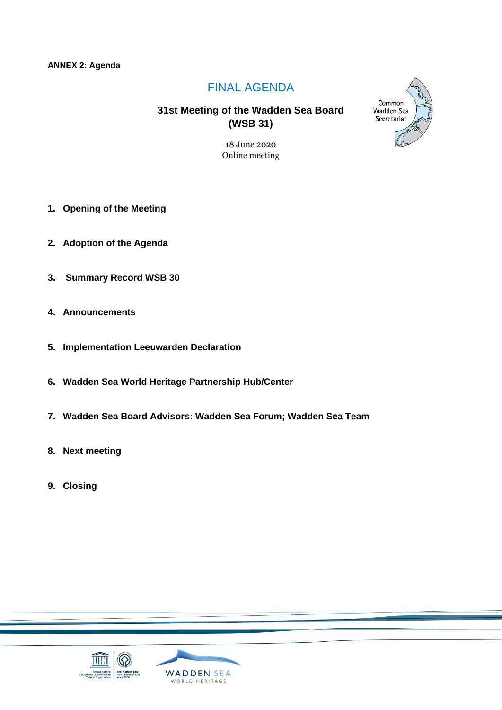# FINAL AGENDA

# **31st Meeting of the Wadden Sea Board (WSB 31)**

18 June 2020 Online meeting

- **1. Opening of the Meeting**
- **2. Adoption of the Agenda**
- **3. Summary Record WSB 30**
- **4. Announcements**
- **5. Implementation Leeuwarden Declaration**
- **6. Wadden Sea World Heritage Partnership Hub/Center**
- **7. Wadden Sea Board Advisors: Wadden Sea Forum; Wadden Sea Team**
- **8. Next meeting**
- **9. Closing**